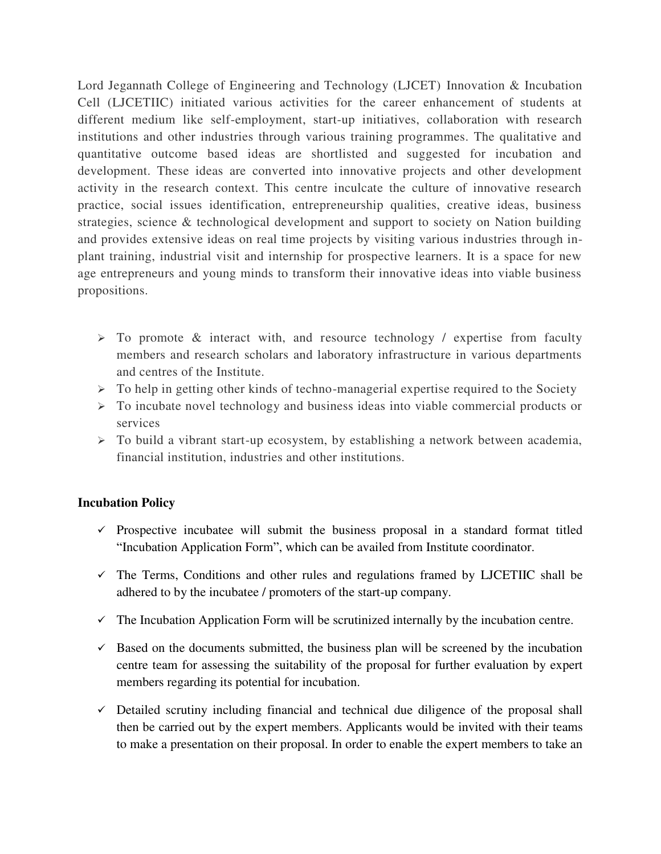Lord Jegannath College of Engineering and Technology (LJCET) Innovation & Incubation Cell (LJCETIIC) initiated various activities for the career enhancement of students at different medium like self-employment, start-up initiatives, collaboration with research institutions and other industries through various training programmes. The qualitative and quantitative outcome based ideas are shortlisted and suggested for incubation and development. These ideas are converted into innovative projects and other development activity in the research context. This centre inculcate the culture of innovative research practice, social issues identification, entrepreneurship qualities, creative ideas, business strategies, science & technological development and support to society on Nation building and provides extensive ideas on real time projects by visiting various industries through inplant training, industrial visit and internship for prospective learners. It is a space for new age entrepreneurs and young minds to transform their innovative ideas into viable business propositions.

- $\triangleright$  To promote & interact with, and resource technology / expertise from faculty members and research scholars and laboratory infrastructure in various departments and centres of the Institute.
- $\triangleright$  To help in getting other kinds of techno-managerial expertise required to the Society
- $\triangleright$  To incubate novel technology and business ideas into viable commercial products or services
- $\triangleright$  To build a vibrant start-up ecosystem, by establishing a network between academia, financial institution, industries and other institutions.

## **Incubation Policy**

- $\checkmark$  Prospective incubatee will submit the business proposal in a standard format titled "Incubation Application Form", which can be availed from Institute coordinator.
- $\checkmark$  The Terms, Conditions and other rules and regulations framed by LJCETIIC shall be adhered to by the incubatee / promoters of the start-up company.
- $\checkmark$  The Incubation Application Form will be scrutinized internally by the incubation centre.
- $\checkmark$  Based on the documents submitted, the business plan will be screened by the incubation centre team for assessing the suitability of the proposal for further evaluation by expert members regarding its potential for incubation.
- $\checkmark$  Detailed scrutiny including financial and technical due diligence of the proposal shall then be carried out by the expert members. Applicants would be invited with their teams to make a presentation on their proposal. In order to enable the expert members to take an